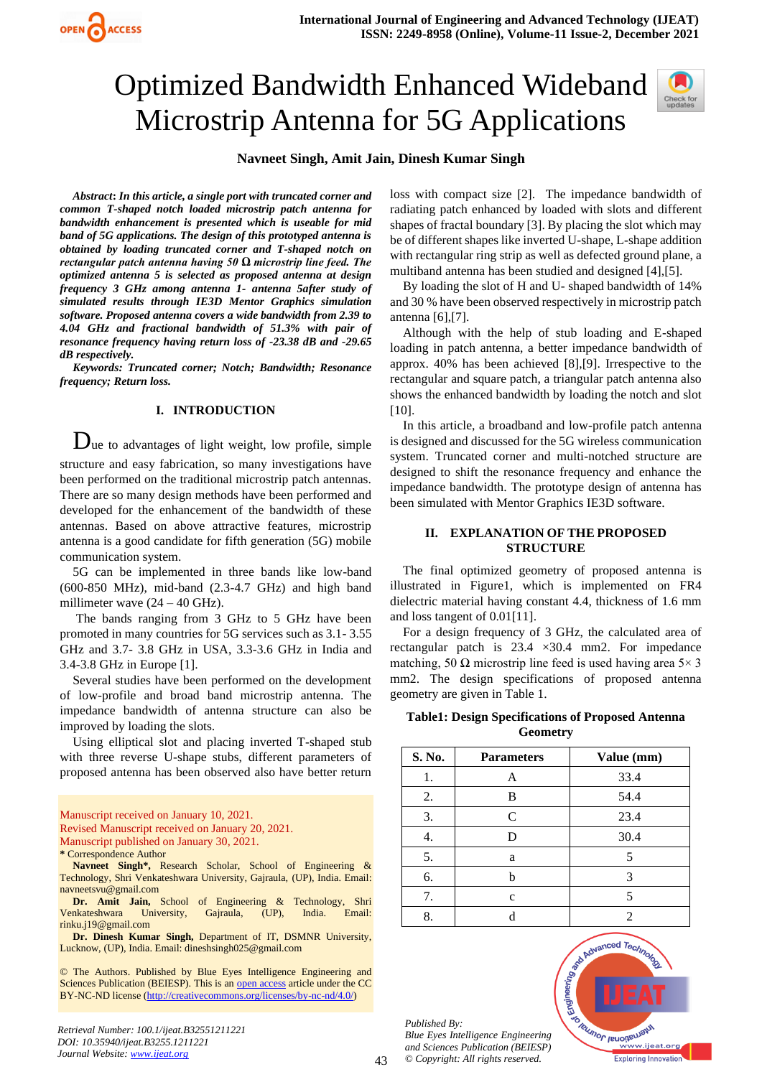# Optimized Bandwidth Enhanced Wideband Microstrip Antenna for 5G Applications



# **Navneet Singh, Amit Jain, Dinesh Kumar Singh**

*Abstract***:** *In this article, a single port with truncated corner and common T-shaped notch loaded microstrip patch antenna for bandwidth enhancement is presented which is useable for mid band of 5G applications. The design of this prototyped antenna is obtained by loading truncated corner and T-shaped notch on rectangular patch antenna having 50 Ω microstrip line feed. The optimized antenna 5 is selected as proposed antenna at design frequency 3 GHz among antenna 1- antenna 5after study of simulated results through IE3D Mentor Graphics simulation software. Proposed antenna covers a wide bandwidth from 2.39 to 4.04 GHz and fractional bandwidth of 51.3% with pair of resonance frequency having return loss of -23.38 dB and -29.65 dB respectively.*

OPEN ACCESS

*Keywords: Truncated corner; Notch; Bandwidth; Resonance frequency; Return loss.* 

## **I. INTRODUCTION**

 $D_{\text{ue}}$  to advantages of light weight, low profile, simple structure and easy fabrication, so many investigations have been performed on the traditional microstrip patch antennas. There are so many design methods have been performed and developed for the enhancement of the bandwidth of these antennas. Based on above attractive features, microstrip antenna is a good candidate for fifth generation (5G) mobile communication system.

5G can be implemented in three bands like low-band (600-850 MHz), mid-band (2.3-4.7 GHz) and high band millimeter wave  $(24 – 40$  GHz).

The bands ranging from 3 GHz to 5 GHz have been promoted in many countries for 5G services such as 3.1- 3.55 GHz and 3.7- 3.8 GHz in USA, 3.3-3.6 GHz in India and 3.4-3.8 GHz in Europe [1].

Several studies have been performed on the development of low-profile and broad band microstrip antenna. The impedance bandwidth of antenna structure can also be improved by loading the slots.

Using elliptical slot and placing inverted T-shaped stub with three reverse U-shape stubs, different parameters of proposed antenna has been observed also have better return

- Manuscript received on January 10, 2021. Revised Manuscript received on January 20, 2021. Manuscript published on January 30, 2021.
- **\*** Correspondence Author
- **Navneet Singh\*,** Research Scholar, School of Engineering & Technology, Shri Venkateshwara University, Gajraula, (UP), India. Email: navneetsvu@gmail.com

**Dr. Amit Jain,** School of Engineering & Technology, Shri Venkateshwara University, Gajraula, (UP), India. Email: rinku.j19@gmail.com

**Dr. Dinesh Kumar Singh,** Department of IT, DSMNR University, Lucknow, (UP), India. Email: dineshsingh025@gmail.com

© The Authors. Published by Blue Eyes Intelligence Engineering and Sciences Publication (BEIESP). This is an [open access](https://www.openaccess.nl/en/open-publications) article under the CC BY-NC-ND license [\(http://creativecommons.org/licenses/by-nc-nd/4.0/\)](http://creativecommons.org/licenses/by-nc-nd/4.0/)

loss with compact size [2]. The impedance bandwidth of radiating patch enhanced by loaded with slots and different shapes of fractal boundary [3]. By placing the slot which may be of different shapes like inverted U-shape, L-shape addition with rectangular ring strip as well as defected ground plane, a multiband antenna has been studied and designed [4],[5].

By loading the slot of H and U- shaped bandwidth of 14% and 30 % have been observed respectively in microstrip patch antenna [6],[7].

Although with the help of stub loading and E-shaped loading in patch antenna, a better impedance bandwidth of approx. 40% has been achieved [8],[9]. Irrespective to the rectangular and square patch, a triangular patch antenna also shows the enhanced bandwidth by loading the notch and slot [10].

In this article, a broadband and low-profile patch antenna is designed and discussed for the 5G wireless communication system. Truncated corner and multi-notched structure are designed to shift the resonance frequency and enhance the impedance bandwidth. The prototype design of antenna has been simulated with Mentor Graphics IE3D software.

#### **II. EXPLANATION OF THE PROPOSED STRUCTURE**

The final optimized geometry of proposed antenna is illustrated in Figure1, which is implemented on FR4 dielectric material having constant 4.4, thickness of 1.6 mm and loss tangent of 0.01[11].

For a design frequency of 3 GHz, the calculated area of rectangular patch is  $23.4 \times 30.4$  mm2. For impedance matching, 50  $\Omega$  microstrip line feed is used having area 5× 3 mm2. The design specifications of proposed antenna geometry are given in Table 1.

**Table1: Design Specifications of Proposed Antenna Geometry**

| S. No. | <b>Parameters</b> | Value (mm) |
|--------|-------------------|------------|
|        | A                 | 33.4       |
| 2.     | в                 | 54.4       |
| 3.     | C                 | 23.4       |
| 4.     |                   | 30.4       |
| 5.     | a                 | 5          |
| 6.     | h                 | 3          |
| 7.     | $\mathbf c$       |            |
| 8.     |                   |            |

*Published By: Blue Eyes Intelligence Engineering and Sciences Publication (BEIESP) © Copyright: All rights reserved.*



43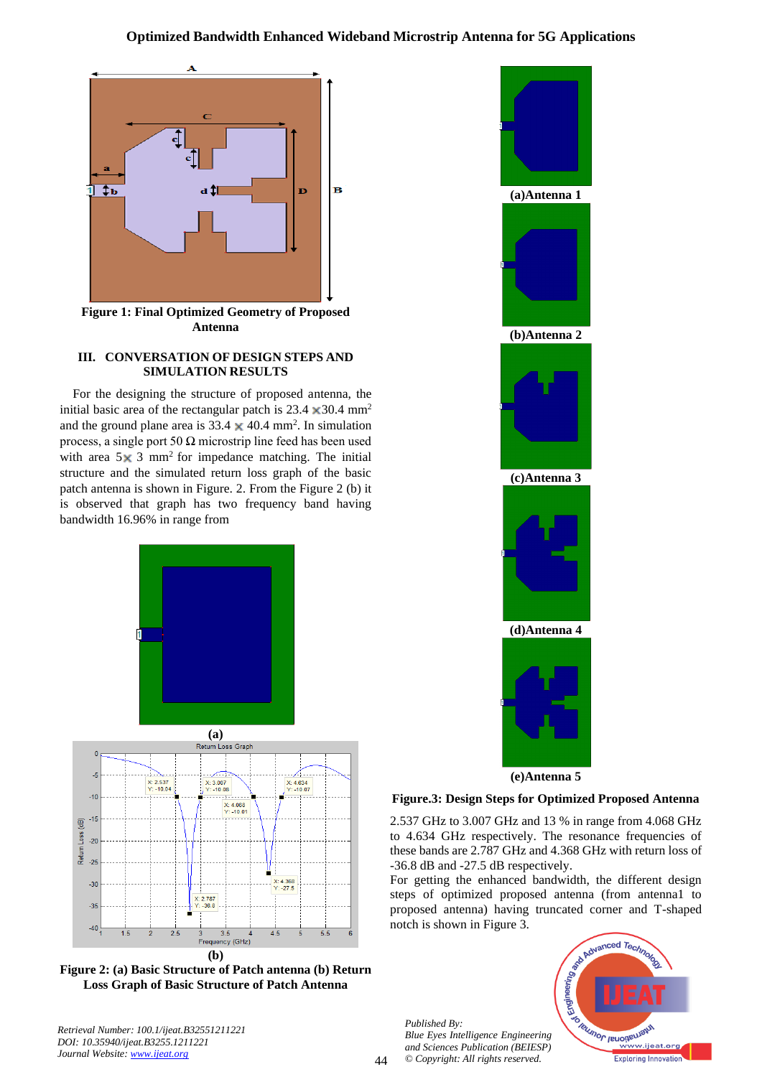# **Optimized Bandwidth Enhanced Wideband Microstrip Antenna for 5G Applications**



**Figure 1: Final Optimized Geometry of Proposed Antenna**

## **III. CONVERSATION OF DESIGN STEPS AND SIMULATION RESULTS**

For the designing the structure of proposed antenna, the initial basic area of the rectangular patch is 23.4  $\times$  30.4 mm<sup>2</sup> and the ground plane area is 33.4  $\times$  40.4 mm<sup>2</sup>. In simulation process, a single port 50  $\Omega$  microstrip line feed has been used with area  $5 \times 3$  mm<sup>2</sup> for impedance matching. The initial structure and the simulated return loss graph of the basic patch antenna is shown in Figure. 2. From the Figure 2 (b) it is observed that graph has two frequency band having bandwidth 16.96% in range from



**Figure 2: (a) Basic Structure of Patch antenna (b) Return Loss Graph of Basic Structure of Patch Antenna**

*Retrieval Number: 100.1/ijeat.B32551211221 DOI: 10.35940/ijeat.B3255.1211221 Journal Website: [www.ijeat.org](http://www.ijeat.org/)* 



## **Figure.3: Design Steps for Optimized Proposed Antenna**

2.537 GHz to 3.007 GHz and 13 % in range from 4.068 GHz to 4.634 GHz respectively. The resonance frequencies of these bands are 2.787 GHz and 4.368 GHz with return loss of -36.8 dB and -27.5 dB respectively.

For getting the enhanced bandwidth, the different design steps of optimized proposed antenna (from antenna1 to proposed antenna) having truncated corner and T-shaped notch is shown in Figure 3.

*Published By: Blue Eyes Intelligence Engineering and Sciences Publication (BEIESP) © Copyright: All rights reserved.*

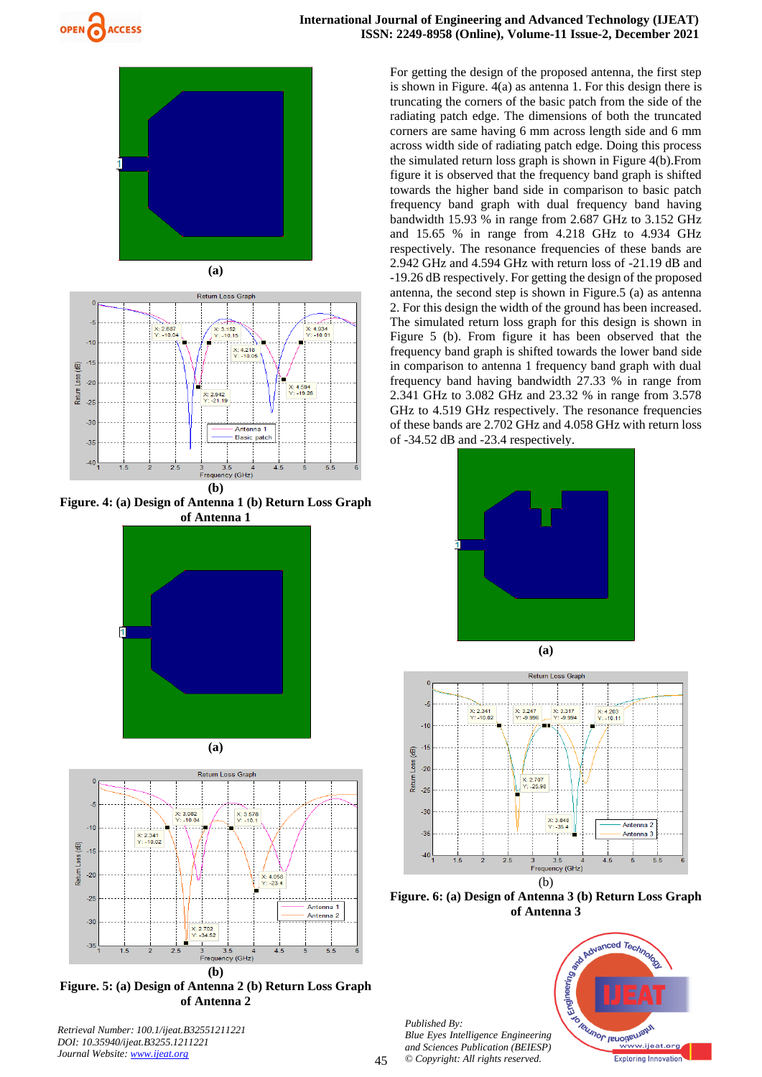





**Figure. 4: (a) Design of Antenna 1 (b) Return Loss Graph of Antenna 1**





**(b) Figure. 5: (a) Design of Antenna 2 (b) Return Loss Graph of Antenna 2**

For getting the design of the proposed antenna, the first step is shown in Figure. 4(a) as antenna 1. For this design there is truncating the corners of the basic patch from the side of the radiating patch edge. The dimensions of both the truncated corners are same having 6 mm across length side and 6 mm across width side of radiating patch edge. Doing this process the simulated return loss graph is shown in Figure 4(b).From figure it is observed that the frequency band graph is shifted towards the higher band side in comparison to basic patch frequency band graph with dual frequency band having bandwidth 15.93 % in range from 2.687 GHz to 3.152 GHz and 15.65 % in range from 4.218 GHz to 4.934 GHz respectively. The resonance frequencies of these bands are 2.942 GHz and 4.594 GHz with return loss of -21.19 dB and -19.26 dB respectively. For getting the design of the proposed antenna, the second step is shown in Figure.5 (a) as antenna 2. For this design the width of the ground has been increased. The simulated return loss graph for this design is shown in Figure 5 (b). From figure it has been observed that the frequency band graph is shifted towards the lower band side in comparison to antenna 1 frequency band graph with dual frequency band having bandwidth 27.33 % in range from 2.341 GHz to 3.082 GHz and 23.32 % in range from 3.578 GHz to 4.519 GHz respectively. The resonance frequencies of these bands are 2.702 GHz and 4.058 GHz with return loss of -34.52 dB and -23.4 respectively.





**Figure. 6: (a) Design of Antenna 3 (b) Return Loss Graph** 



*Published By: Blue Eyes Intelligence Engineering and Sciences Publication (BEIESP) © Copyright: All rights reserved.*

45

*Retrieval Number: 100.1/ijeat.B32551211221 DOI: 10.35940/ijeat.B3255.1211221 Journal Website: [www.ijeat.org](http://www.ijeat.org/)*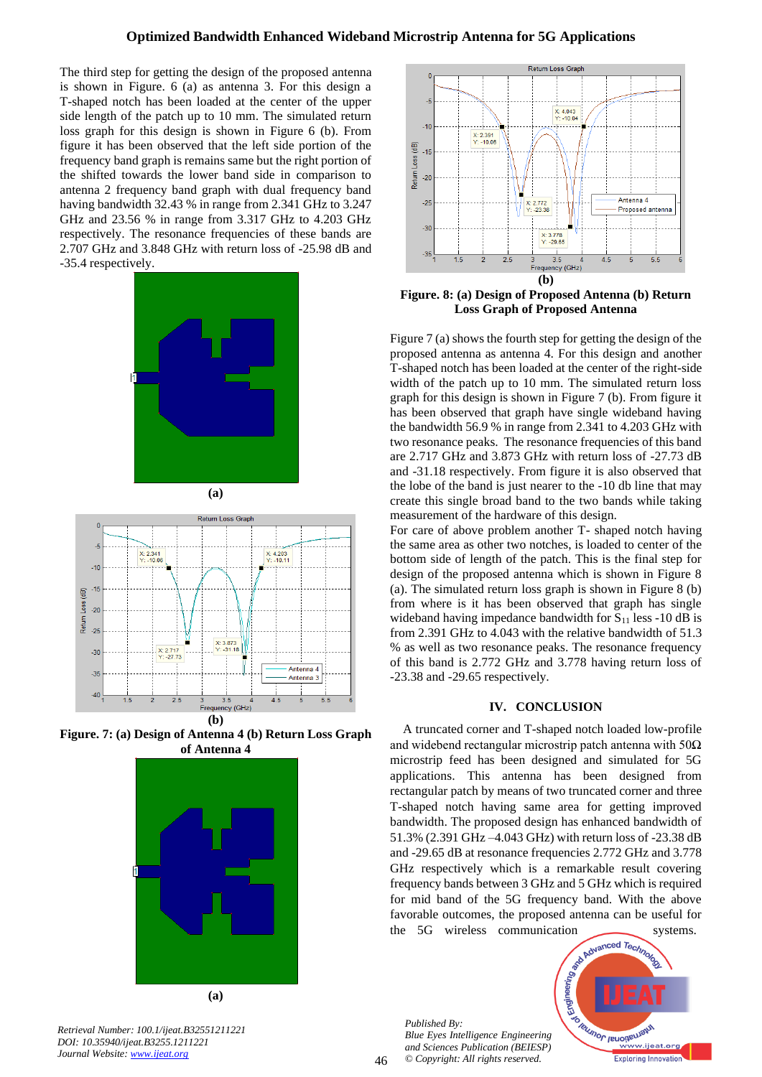The third step for getting the design of the proposed antenna is shown in Figure. 6 (a) as antenna 3. For this design a T-shaped notch has been loaded at the center of the upper side length of the patch up to 10 mm. The simulated return loss graph for this design is shown in Figure 6 (b). From figure it has been observed that the left side portion of the frequency band graph is remains same but the right portion of the shifted towards the lower band side in comparison to antenna 2 frequency band graph with dual frequency band having bandwidth 32.43 % in range from 2.341 GHz to 3.247 GHz and 23.56 % in range from 3.317 GHz to 4.203 GHz respectively. The resonance frequencies of these bands are 2.707 GHz and 3.848 GHz with return loss of -25.98 dB and -35.4 respectively.





**Figure. 7: (a) Design of Antenna 4 (b) Return Loss Graph of Antenna 4**



**(a)**



**Figure. 8: (a) Design of Proposed Antenna (b) Return Loss Graph of Proposed Antenna**

Figure 7 (a) shows the fourth step for getting the design of the proposed antenna as antenna 4. For this design and another T-shaped notch has been loaded at the center of the right-side width of the patch up to 10 mm. The simulated return loss graph for this design is shown in Figure 7 (b). From figure it has been observed that graph have single wideband having the bandwidth 56.9 % in range from 2.341 to 4.203 GHz with two resonance peaks. The resonance frequencies of this band are 2.717 GHz and 3.873 GHz with return loss of -27.73 dB and -31.18 respectively. From figure it is also observed that the lobe of the band is just nearer to the -10 db line that may create this single broad band to the two bands while taking measurement of the hardware of this design.

For care of above problem another T- shaped notch having the same area as other two notches, is loaded to center of the bottom side of length of the patch. This is the final step for design of the proposed antenna which is shown in Figure 8 (a). The simulated return loss graph is shown in Figure 8 (b) from where is it has been observed that graph has single wideband having impedance bandwidth for  $S_{11}$  less -10 dB is from 2.391 GHz to 4.043 with the relative bandwidth of 51.3 % as well as two resonance peaks. The resonance frequency of this band is 2.772 GHz and 3.778 having return loss of -23.38 and -29.65 respectively.

#### **IV. CONCLUSION**

A truncated corner and T-shaped notch loaded low-profile and widebend rectangular microstrip patch antenna with  $50\Omega$ microstrip feed has been designed and simulated for 5G applications. This antenna has been designed from rectangular patch by means of two truncated corner and three T-shaped notch having same area for getting improved bandwidth. The proposed design has enhanced bandwidth of 51.3% (2.391 GHz –4.043 GHz) with return loss of -23.38 dB and -29.65 dB at resonance frequencies 2.772 GHz and 3.778 GHz respectively which is a remarkable result covering frequency bands between 3 GHz and 5 GHz which is required for mid band of the 5G frequency band. With the above favorable outcomes, the proposed antenna can be useful for

*Published By: Blue Eyes Intelligence Engineering and Sciences Publication (BEIESP) © Copyright: All rights reserved.*



*Retrieval Number: 100.1/ijeat.B32551211221 DOI: 10.35940/ijeat.B3255.1211221 Journal Website: [www.ijeat.org](http://www.ijeat.org/)*